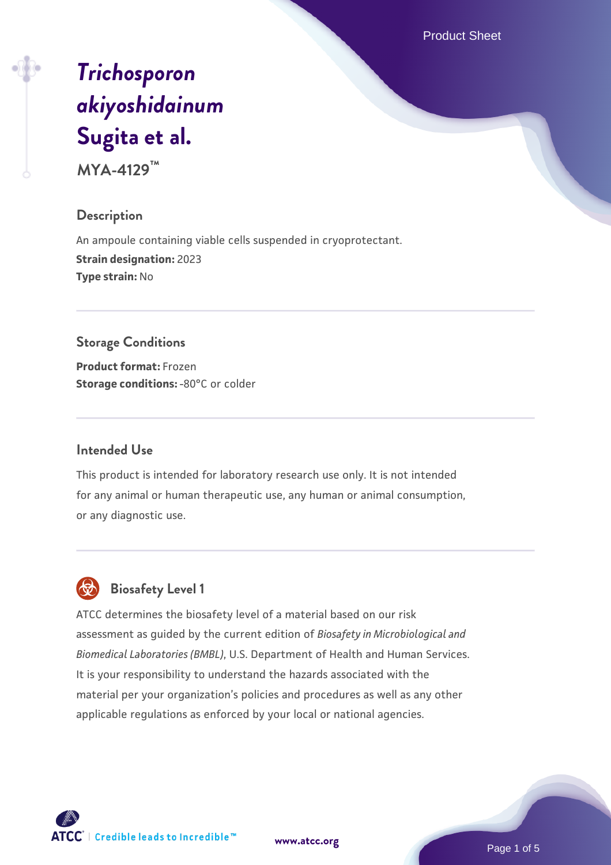Product Sheet

# *[Trichosporon](https://www.atcc.org/products/mya-4129) [akiyoshidainum](https://www.atcc.org/products/mya-4129)* **[Sugita et al.](https://www.atcc.org/products/mya-4129)**

**MYA-4129™**

#### **Description**

An ampoule containing viable cells suspended in cryoprotectant. **Strain designation:** 2023 **Type strain:** No

#### **Storage Conditions**

**Product format:** Frozen **Storage conditions: -80°C or colder** 

#### **Intended Use**

This product is intended for laboratory research use only. It is not intended for any animal or human therapeutic use, any human or animal consumption, or any diagnostic use.

# **Biosafety Level 1**

ATCC determines the biosafety level of a material based on our risk assessment as guided by the current edition of *Biosafety in Microbiological and Biomedical Laboratories (BMBL)*, U.S. Department of Health and Human Services. It is your responsibility to understand the hazards associated with the material per your organization's policies and procedures as well as any other applicable regulations as enforced by your local or national agencies.

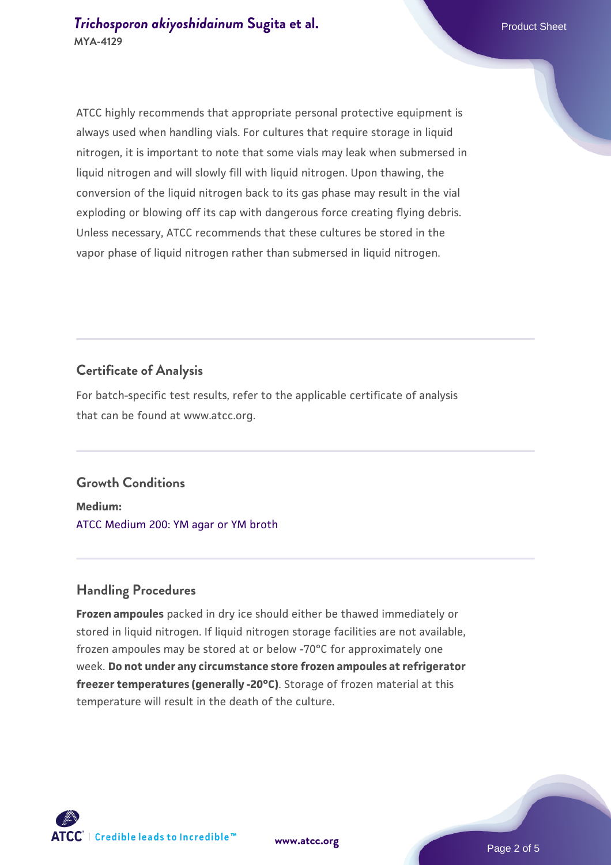ATCC highly recommends that appropriate personal protective equipment is always used when handling vials. For cultures that require storage in liquid nitrogen, it is important to note that some vials may leak when submersed in liquid nitrogen and will slowly fill with liquid nitrogen. Upon thawing, the conversion of the liquid nitrogen back to its gas phase may result in the vial exploding or blowing off its cap with dangerous force creating flying debris. Unless necessary, ATCC recommends that these cultures be stored in the vapor phase of liquid nitrogen rather than submersed in liquid nitrogen.

## **Certificate of Analysis**

For batch-specific test results, refer to the applicable certificate of analysis that can be found at www.atcc.org.

# **Growth Conditions**

**Medium:**  [ATCC Medium 200: YM agar or YM broth](https://www.atcc.org/-/media/product-assets/documents/microbial-media-formulations/2/0/0/atcc-medium-200.pdf?rev=ac40fd74dc13433a809367b0b9da30fc)

# **Handling Procedures**

**Frozen ampoules** packed in dry ice should either be thawed immediately or stored in liquid nitrogen. If liquid nitrogen storage facilities are not available, frozen ampoules may be stored at or below -70°C for approximately one week. **Do not under any circumstance store frozen ampoules at refrigerator freezer temperatures (generally -20°C)**. Storage of frozen material at this temperature will result in the death of the culture.



**[www.atcc.org](http://www.atcc.org)**

Page 2 of 5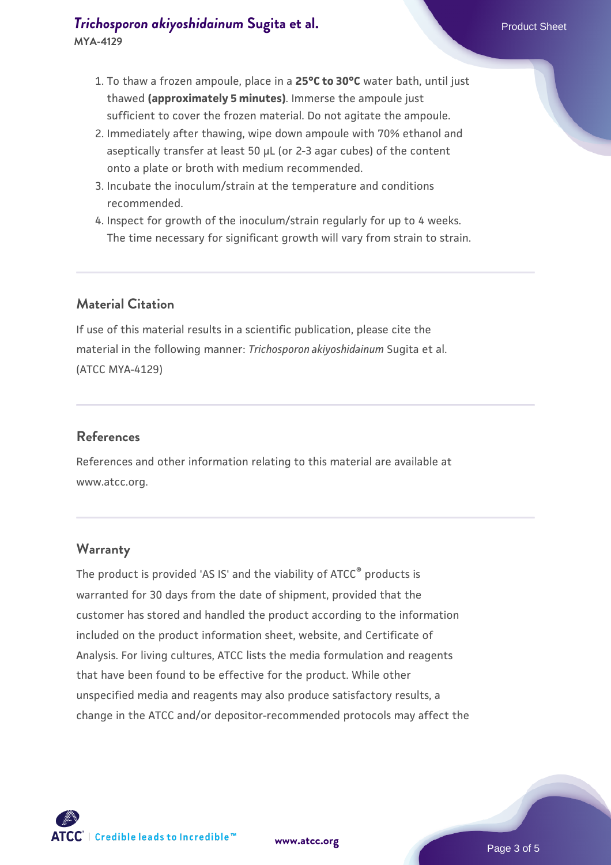# **[Trichosporon akiyoshidainum](https://www.atcc.org/products/mya-4129) [Sugita et al.](https://www.atcc.org/products/mya-4129)** Product Sheet **MYA-4129**

- 1. To thaw a frozen ampoule, place in a **25°C to 30°C** water bath, until just thawed **(approximately 5 minutes)**. Immerse the ampoule just sufficient to cover the frozen material. Do not agitate the ampoule.
- 2. Immediately after thawing, wipe down ampoule with 70% ethanol and aseptically transfer at least 50 µL (or 2-3 agar cubes) of the content onto a plate or broth with medium recommended.
- 3. Incubate the inoculum/strain at the temperature and conditions recommended.
- 4. Inspect for growth of the inoculum/strain regularly for up to 4 weeks. The time necessary for significant growth will vary from strain to strain.

# **Material Citation**

If use of this material results in a scientific publication, please cite the material in the following manner: *Trichosporon akiyoshidainum* Sugita et al. (ATCC MYA-4129)

# **References**

References and other information relating to this material are available at www.atcc.org.

#### **Warranty**

The product is provided 'AS IS' and the viability of ATCC® products is warranted for 30 days from the date of shipment, provided that the customer has stored and handled the product according to the information included on the product information sheet, website, and Certificate of Analysis. For living cultures, ATCC lists the media formulation and reagents that have been found to be effective for the product. While other unspecified media and reagents may also produce satisfactory results, a change in the ATCC and/or depositor-recommended protocols may affect the

**[www.atcc.org](http://www.atcc.org)**



Page 3 of 5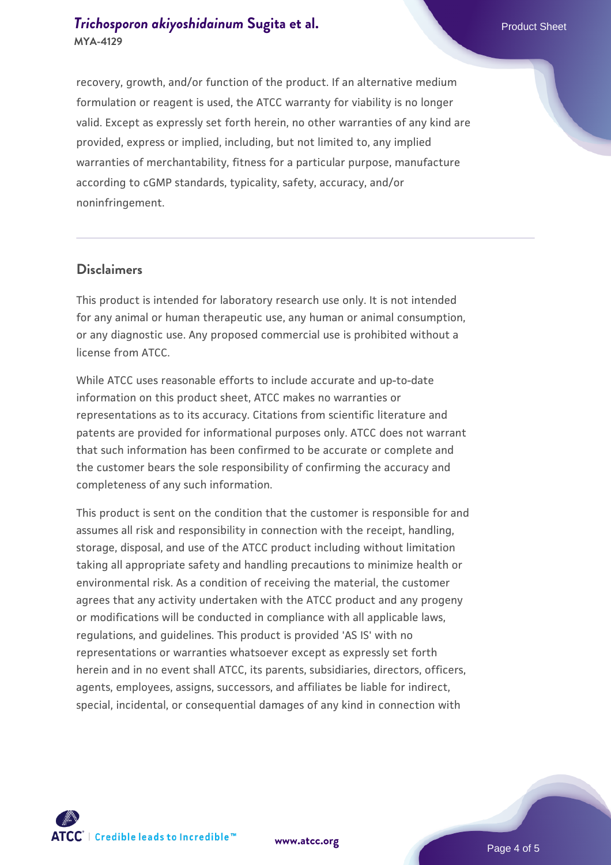# **[Trichosporon akiyoshidainum](https://www.atcc.org/products/mya-4129) [Sugita et al.](https://www.atcc.org/products/mya-4129)** Product Sheet **MYA-4129**

recovery, growth, and/or function of the product. If an alternative medium formulation or reagent is used, the ATCC warranty for viability is no longer valid. Except as expressly set forth herein, no other warranties of any kind are provided, express or implied, including, but not limited to, any implied warranties of merchantability, fitness for a particular purpose, manufacture according to cGMP standards, typicality, safety, accuracy, and/or noninfringement.

#### **Disclaimers**

This product is intended for laboratory research use only. It is not intended for any animal or human therapeutic use, any human or animal consumption, or any diagnostic use. Any proposed commercial use is prohibited without a license from ATCC.

While ATCC uses reasonable efforts to include accurate and up-to-date information on this product sheet, ATCC makes no warranties or representations as to its accuracy. Citations from scientific literature and patents are provided for informational purposes only. ATCC does not warrant that such information has been confirmed to be accurate or complete and the customer bears the sole responsibility of confirming the accuracy and completeness of any such information.

This product is sent on the condition that the customer is responsible for and assumes all risk and responsibility in connection with the receipt, handling, storage, disposal, and use of the ATCC product including without limitation taking all appropriate safety and handling precautions to minimize health or environmental risk. As a condition of receiving the material, the customer agrees that any activity undertaken with the ATCC product and any progeny or modifications will be conducted in compliance with all applicable laws, regulations, and guidelines. This product is provided 'AS IS' with no representations or warranties whatsoever except as expressly set forth herein and in no event shall ATCC, its parents, subsidiaries, directors, officers, agents, employees, assigns, successors, and affiliates be liable for indirect, special, incidental, or consequential damages of any kind in connection with





Page 4 of 5